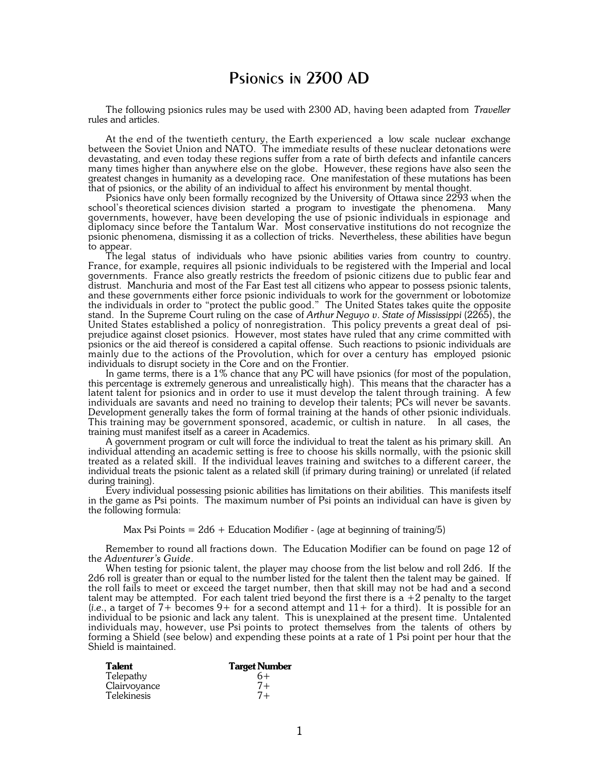## Psionics in 2300 AD

The following psionics rules may be used with 2300 AD, having been adapted from *Traveller* rules and articles.

At the end of the twentieth century, the Earth experienced a low scale nuclear exchange between the Soviet Union and NATO. The immediate results of these nuclear detonations were devastating, and even today these regions suffer from a rate of birth defects and infantile cancers many times higher than anywhere else on the globe. However, these regions have also seen the greatest changes in humanity as a developing race. One manifestation of these mutations has been that of psionics, or the ability of an individual to affect his environment by mental thought.

Psionics have only been formally recognized by the University of Ottawa since 2293 when the school's theoretical sciences division started a program to investigate the phenomena. Many governments, however, have been developing the use of psionic individuals in espionage and diplomacy since before the Tantalum War. Most conservative institutions do not recognize the psionic phenomena, dismissing it as a collection of tricks. Nevertheless, these abilities have begun to appear.

The legal status of individuals who have psionic abilities varies from country to country. France, for example, requires all psionic individuals to be registered with the Imperial and local governments. France also greatly restricts the freedom of psionic citizens due to public fear and distrust. Manchuria and most of the Far East test all citizens who appear to possess psionic talents, and these governments either force psionic individuals to work for the government or lobotomize the individuals in order to "protect the public good." The United States takes quite the opposite stand. In the Supreme Court ruling on the case of *Arthur Neguyo v. State of Mississippi* (2265), the United States established a policy of nonregistration. This policy prevents a great deal of psiprejudice against closet psionics. However, most states have ruled that any crime committed with psionics or the aid thereof is considered a capital offense. Such reactions to psionic individuals are mainly due to the actions of the Provolution, which for over a century has employed psionic individuals to disrupt society in the Core and on the Frontier.

In game terms, there is a 1% chance that any PC will have psionics (for most of the population, this percentage is extremely generous and unrealistically high). This means that the character has a latent talent for psionics and in order to use it must develop the talent through training. A few individuals are savants and need no training to develop their talents; PCs will never be savants. Development generally takes the form of formal training at the hands of other psionic individuals. This training may be government sponsored, academic, or cultish in nature. In all cases, the training must manifest itself as a career in Academics.

A government program or cult will force the individual to treat the talent as his primary skill. An individual attending an academic setting is free to choose his skills normally, with the psionic skill treated as a related skill. If the individual leaves training and switches to a different career, the individual treats the psionic talent as a related skill (if primary during training) or unrelated (if related during training).

Every individual possessing psionic abilities has limitations on their abilities. This manifests itself in the game as Psi points. The maximum number of Psi points an individual can have is given by the following formula:

Max Psi Points  $= 2d6 +$  Education Modifier - (age at beginning of training/5)

Remember to round all fractions down. The Education Modifier can be found on page 12 of the *Adventurer's Guide*.

When testing for psionic talent, the player may choose from the list below and roll 2d6. If the 2d6 roll is greater than or equal to the number listed for the talent then the talent may be gained. If the roll fails to meet or exceed the target number, then that skill may not be had and a second talent may be attempted. For each talent tried beyond the first there is a  $+2$  penalty to the target (*i.e.*, a target of  $7+$  becomes  $9+$  for a second attempt and  $11+$  for a third). It is possible for an individual to be psionic and lack any talent. This is unexplained at the present time. Untalented individuals may, however, use Psi points to protect themselves from the talents of others by forming a Shield (see below) and expending these points at a rate of 1 Psi point per hour that the Shield is maintained.

| <b>Talent</b> | <b>Target Number</b> |
|---------------|----------------------|
| Telepathy     | 6+                   |
| Clairvoyance  | $7+$                 |
| Telekinesis   | $7+$                 |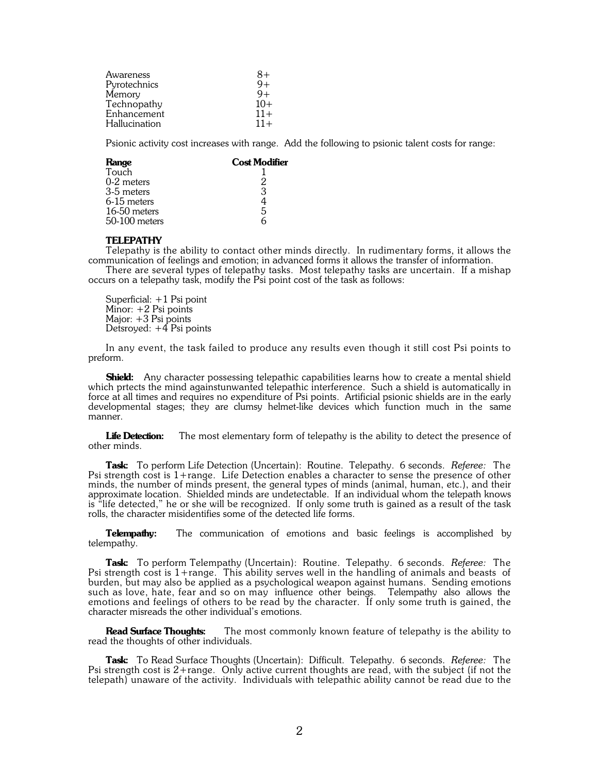| Awareness     | 8+    |
|---------------|-------|
| Pyrotechnics  | $9+$  |
| Memory        | $9+$  |
| Technopathy   | $10+$ |
| Enhancement   | $11+$ |
| Hallucination | $11+$ |

Psionic activity cost increases with range. Add the following to psionic talent costs for range:

| <b>Cost Modifier</b> |
|----------------------|
|                      |
|                      |
| 3                    |
|                      |
| 5                    |
|                      |
|                      |

## **TELEPATHY**

Telepathy is the ability to contact other minds directly. In rudimentary forms, it allows the communication of feelings and emotion; in advanced forms it allows the transfer of information.

There are several types of telepathy tasks. Most telepathy tasks are uncertain. If a mishap occurs on a telepathy task, modify the Psi point cost of the task as follows:

Superficial: +1 Psi point Minor: +2 Psi points Major: +3 Psi points Detsroyed: +4 Psi points

In any event, the task failed to produce any results even though it still cost Psi points to preform.

**Shield:** Any character possessing telepathic capabilities learns how to create a mental shield which prtects the mind againstunwanted telepathic interference. Such a shield is automatically in force at all times and requires no expenditure of Psi points. Artificial psionic shields are in the early developmental stages; they are clumsy helmet-like devices which function much in the same manner.

Life Detection: The most elementary form of telepathy is the ability to detect the presence of other minds.

**Task:** To perform Life Detection (Uncertain): Routine. Telepathy. 6 seconds. *Referee:* The Psi strength cost is 1+range. Life Detection enables a character to sense the presence of other minds, the number of minds present, the general types of minds (animal, human, etc.), and their approximate location. Shielded minds are undetectable. If an individual whom the telepath knows is "life detected," he or she will be recognized. If only some truth is gained as a result of the task rolls, the character misidentifies some of the detected life forms.

**Telempathy:** The communication of emotions and basic feelings is accomplished by telempathy.

**Task:** To perform Telempathy (Uncertain): Routine. Telepathy. 6 seconds. *Referee:* The Psi strength cost is 1+range. This ability serves well in the handling of animals and beasts of burden, but may also be applied as a psychological weapon against humans. Sending emotions such as love, hate, fear and so on may influence other beings. Telempathy also allows the emotions and feelings of others to be read by the character. If only some truth is gained, the character misreads the other individual's emotions.

**Read Surface Thoughts:** The most commonly known feature of telepathy is the ability to read the thoughts of other individuals.

**Task:** To Read Surface Thoughts (Uncertain): Difficult. Telepathy. 6 seconds. *Referee:* The Psi strength cost is 2+range. Only active current thoughts are read, with the subject (if not the telepath) unaware of the activity. Individuals with telepathic ability cannot be read due to the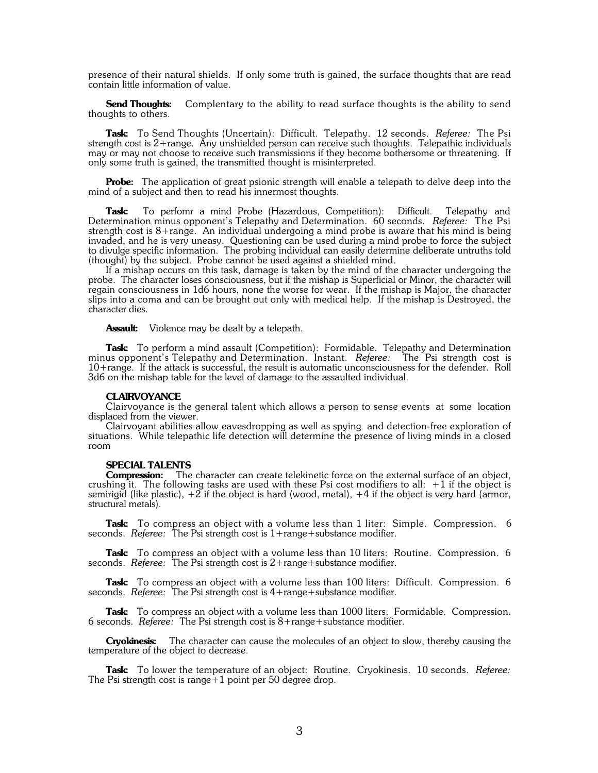presence of their natural shields. If only some truth is gained, the surface thoughts that are read contain little information of value.

**Send Thoughts:** Complentary to the ability to read surface thoughts is the ability to send thoughts to others.

**Task:** To Send Thoughts (Uncertain): Difficult. Telepathy. 12 seconds. *Referee:* The Psi strength cost is 2+range. Any unshielded person can receive such thoughts. Telepathic individuals may or may not choose to receive such transmissions if they become bothersome or threatening. If only some truth is gained, the transmitted thought is misinterpreted.

**Probe:** The application of great psionic strength will enable a telepath to delve deep into the mind of a subject and then to read his innermost thoughts.

**Task:** To perfomr a mind Probe (Hazardous, Competition): Difficult. Telepathy and Determination minus opponent's Telepathy and Determination. 60 seconds. *Referee:* The Psi strength cost is 8+range. An individual undergoing a mind probe is aware that his mind is being invaded, and he is very uneasy. Questioning can be used during a mind probe to force the subject to divulge specific information. The probing individual can easily determine deliberate untruths told (thought) by the subject. Probe cannot be used against a shielded mind.

If a mishap occurs on this task, damage is taken by the mind of the character undergoing the probe. The character loses consciousness, but if the mishap is Superficial or Minor, the character will regain consciousness in 1d6 hours, none the worse for wear. If the mishap is Major, the character slips into a coma and can be brought out only with medical help. If the mishap is Destroyed, the character dies.

**Assault:** Violence may be dealt by a telepath.

Task: To perform a mind assault (Competition): Formidable. Telepathy and Determination minus opponent's Telepathy and Determination. Instant. *Referee:* The Psi strength cost is 10+range. If the attack is successful, the result is automatic unconsciousness for the defender. Roll 3d6 on the mishap table for the level of damage to the assaulted individual.

## **CLAIRVOYANCE**

Clairvoyance is the general talent which allows a person to sense events at some location displaced from the viewer.

Clairvoyant abilities allow eavesdropping as well as spying and detection-free exploration of situations. While telepathic life detection will determine the presence of living minds in a closed room

## **SPECIAL TALENTS**

**Compression:** The character can create telekinetic force on the external surface of an object, crushing it. The following tasks are used with these Psi cost modifiers to all:  $+1$  if the object is semirigid (like plastic),  $+2$  if the object is hard (wood, metal),  $+4$  if the object is very hard (armor, structural metals).

**Task:** To compress an object with a volume less than 1 liter: Simple. Compression. 6 seconds. *Referee:* The Psi strength cost is 1+range+substance modifier.

**Task:** To compress an object with a volume less than 10 liters: Routine. Compression. 6 seconds. *Referee:* The Psi strength cost is 2+range+substance modifier.

**Task:** To compress an object with a volume less than 100 liters: Difficult. Compression. 6 seconds. *Referee:* The Psi strength cost is 4+range+substance modifier.

Task: To compress an object with a volume less than 1000 liters: Formidable. Compression. 6 seconds. *Referee:* The Psi strength cost is 8+range+substance modifier.

**Cryokinesis:** The character can cause the molecules of an object to slow, thereby causing the temperature of the object to decrease.

**Task:** To lower the temperature of an object: Routine. Cryokinesis. 10 seconds. *Referee:* The Psi strength cost is range  $+1$  point per 50 degree drop.